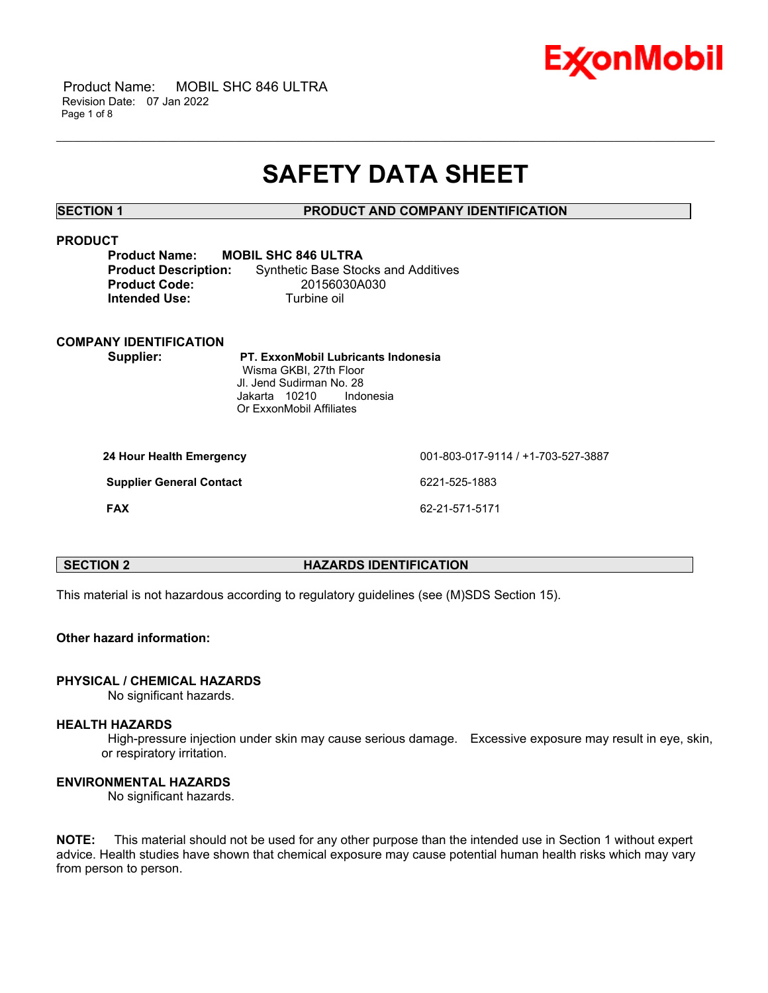

 Product Name: MOBIL SHC 846 ULTRA Revision Date: 07 Jan 2022 Page 1 of 8

# **SAFETY DATA SHEET**

\_\_\_\_\_\_\_\_\_\_\_\_\_\_\_\_\_\_\_\_\_\_\_\_\_\_\_\_\_\_\_\_\_\_\_\_\_\_\_\_\_\_\_\_\_\_\_\_\_\_\_\_\_\_\_\_\_\_\_\_\_\_\_\_\_\_\_\_\_\_\_\_\_\_\_\_\_\_\_\_\_\_\_\_\_\_\_\_\_\_\_\_\_\_\_\_\_\_\_\_\_\_\_\_\_\_\_\_\_\_\_\_\_\_\_\_\_\_

# **SECTION 1 PRODUCT AND COMPANY IDENTIFICATION**

# **PRODUCT**

| <b>Product Name:</b>        | <b>MOBIL SHC 846 ULTRA</b>                 |
|-----------------------------|--------------------------------------------|
| <b>Product Description:</b> | <b>Synthetic Base Stocks and Additives</b> |
| <b>Product Code:</b>        | 20156030A030                               |
| Intended Use:               | Turbine oil                                |

### **COMPANY IDENTIFICATION**

**Supplier: PT. ExxonMobil Lubricants Indonesia** Wisma GKBI, 27th Floor Jl. Jend Sudirman No. 28 Jakarta 10210 Indonesia Or ExxonMobil Affiliates

| 24 Hour Health Emergency        | 001-803-017-9114 / +1-703-527-3887 |
|---------------------------------|------------------------------------|
| <b>Supplier General Contact</b> | 6221-525-1883                      |
| <b>FAX</b>                      | 62-21-571-5171                     |

# **SECTION 2 HAZARDS IDENTIFICATION**

This material is not hazardous according to regulatory guidelines (see (M)SDS Section 15).

# **Other hazard information:**

### **PHYSICAL / CHEMICAL HAZARDS**

No significant hazards.

# **HEALTH HAZARDS**

High-pressure injection under skin may cause serious damage. Excessive exposure may result in eye, skin, or respiratory irritation.

# **ENVIRONMENTAL HAZARDS**

No significant hazards.

**NOTE:** This material should not be used for any other purpose than the intended use in Section 1 without expert advice. Health studies have shown that chemical exposure may cause potential human health risks which may vary from person to person.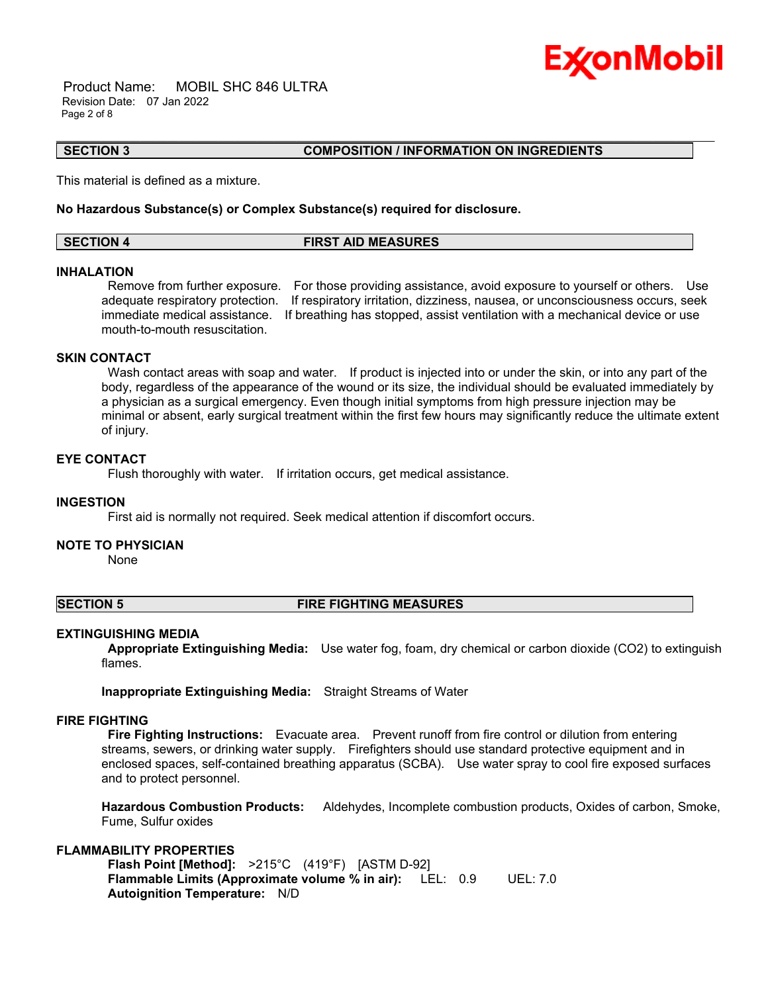

 Product Name: MOBIL SHC 846 ULTRA Revision Date: 07 Jan 2022 Page 2 of 8

#### **SECTION 3 COMPOSITION / INFORMATION ON INGREDIENTS**

This material is defined as a mixture.

### **No Hazardous Substance(s) or Complex Substance(s) required for disclosure.**

# **SECTION 4 FIRST AID MEASURES**

\_\_\_\_\_\_\_\_\_\_\_\_\_\_\_\_\_\_\_\_\_\_\_\_\_\_\_\_\_\_\_\_\_\_\_\_\_\_\_\_\_\_\_\_\_\_\_\_\_\_\_\_\_\_\_\_\_\_\_\_\_\_\_\_\_\_\_\_\_\_\_\_\_\_\_\_\_\_\_\_\_\_\_\_\_\_\_\_\_\_\_\_\_\_\_\_\_\_\_\_\_\_\_\_\_\_\_\_\_\_\_\_\_\_\_\_\_\_

#### **INHALATION**

Remove from further exposure. For those providing assistance, avoid exposure to yourself or others. Use adequate respiratory protection. If respiratory irritation, dizziness, nausea, or unconsciousness occurs, seek immediate medical assistance. If breathing has stopped, assist ventilation with a mechanical device or use mouth-to-mouth resuscitation.

# **SKIN CONTACT**

Wash contact areas with soap and water. If product is injected into or under the skin, or into any part of the body, regardless of the appearance of the wound or its size, the individual should be evaluated immediately by a physician as a surgical emergency. Even though initial symptoms from high pressure injection may be minimal or absent, early surgical treatment within the first few hours may significantly reduce the ultimate extent of injury.

# **EYE CONTACT**

Flush thoroughly with water. If irritation occurs, get medical assistance.

### **INGESTION**

First aid is normally not required. Seek medical attention if discomfort occurs.

### **NOTE TO PHYSICIAN**

None

#### **SECTION 5 FIRE FIGHTING MEASURES**

#### **EXTINGUISHING MEDIA**

**Appropriate Extinguishing Media:** Use water fog, foam, dry chemical or carbon dioxide (CO2) to extinguish flames.

**Inappropriate Extinguishing Media:** Straight Streams of Water

# **FIRE FIGHTING**

**Fire Fighting Instructions:** Evacuate area. Prevent runoff from fire control or dilution from entering streams, sewers, or drinking water supply. Firefighters should use standard protective equipment and in enclosed spaces, self-contained breathing apparatus (SCBA). Use water spray to cool fire exposed surfaces and to protect personnel.

**Hazardous Combustion Products:** Aldehydes, Incomplete combustion products, Oxides of carbon, Smoke, Fume, Sulfur oxides

# **FLAMMABILITY PROPERTIES**

**Flash Point [Method]:** >215°C (419°F) [ASTM D-92] **Flammable Limits (Approximate volume % in air):** LEL: 0.9 UEL: 7.0 **Autoignition Temperature:** N/D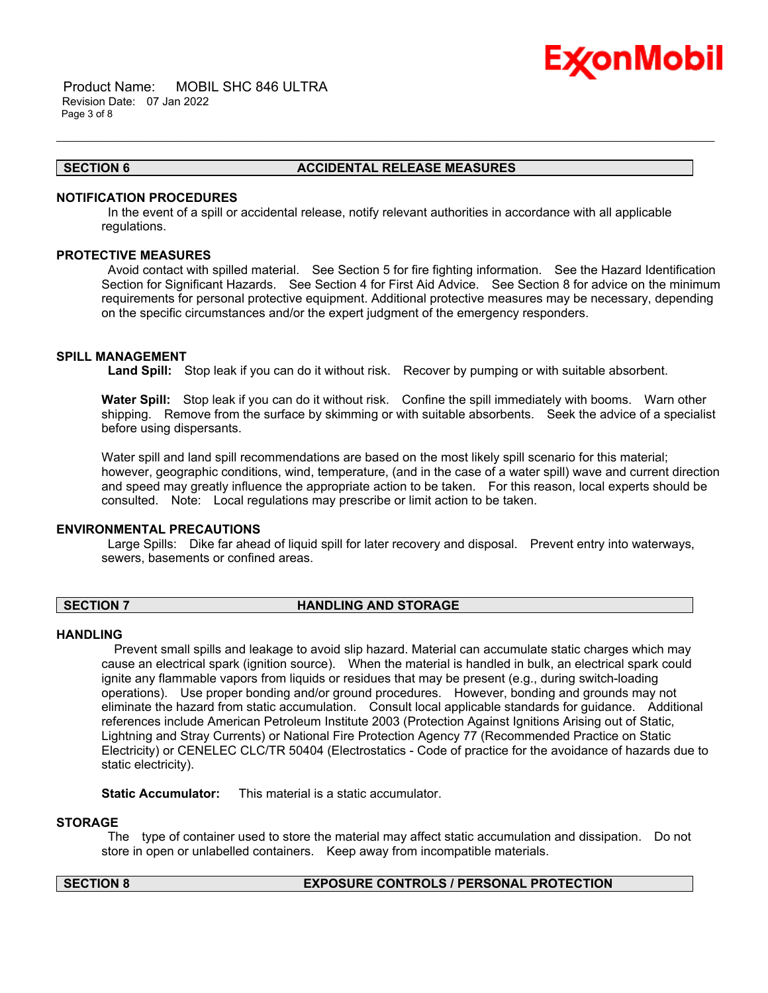

 Product Name: MOBIL SHC 846 ULTRA Revision Date: 07 Jan 2022 Page 3 of 8

# **SECTION 6 ACCIDENTAL RELEASE MEASURES**

# **NOTIFICATION PROCEDURES**

In the event of a spill or accidental release, notify relevant authorities in accordance with all applicable regulations.

\_\_\_\_\_\_\_\_\_\_\_\_\_\_\_\_\_\_\_\_\_\_\_\_\_\_\_\_\_\_\_\_\_\_\_\_\_\_\_\_\_\_\_\_\_\_\_\_\_\_\_\_\_\_\_\_\_\_\_\_\_\_\_\_\_\_\_\_\_\_\_\_\_\_\_\_\_\_\_\_\_\_\_\_\_\_\_\_\_\_\_\_\_\_\_\_\_\_\_\_\_\_\_\_\_\_\_\_\_\_\_\_\_\_\_\_\_\_

# **PROTECTIVE MEASURES**

Avoid contact with spilled material. See Section 5 for fire fighting information. See the Hazard Identification Section for Significant Hazards. See Section 4 for First Aid Advice. See Section 8 for advice on the minimum requirements for personal protective equipment. Additional protective measures may be necessary, depending on the specific circumstances and/or the expert judgment of the emergency responders.

#### **SPILL MANAGEMENT**

**Land Spill:** Stop leak if you can do it without risk. Recover by pumping or with suitable absorbent.

**Water Spill:** Stop leak if you can do it without risk. Confine the spill immediately with booms. Warn other shipping. Remove from the surface by skimming or with suitable absorbents. Seek the advice of a specialist before using dispersants.

Water spill and land spill recommendations are based on the most likely spill scenario for this material; however, geographic conditions, wind, temperature, (and in the case of a water spill) wave and current direction and speed may greatly influence the appropriate action to be taken. For this reason, local experts should be consulted. Note: Local regulations may prescribe or limit action to be taken.

# **ENVIRONMENTAL PRECAUTIONS**

Large Spills: Dike far ahead of liquid spill for later recovery and disposal. Prevent entry into waterways, sewers, basements or confined areas.

### **SECTION 7 HANDLING AND STORAGE**

### **HANDLING**

 Prevent small spills and leakage to avoid slip hazard. Material can accumulate static charges which may cause an electrical spark (ignition source). When the material is handled in bulk, an electrical spark could ignite any flammable vapors from liquids or residues that may be present (e.g., during switch-loading operations). Use proper bonding and/or ground procedures. However, bonding and grounds may not eliminate the hazard from static accumulation. Consult local applicable standards for guidance. Additional references include American Petroleum Institute 2003 (Protection Against Ignitions Arising out of Static, Lightning and Stray Currents) or National Fire Protection Agency 77 (Recommended Practice on Static Electricity) or CENELEC CLC/TR 50404 (Electrostatics - Code of practice for the avoidance of hazards due to static electricity).

**Static Accumulator:** This material is a static accumulator.

# **STORAGE**

The type of container used to store the material may affect static accumulation and dissipation. Do not store in open or unlabelled containers. Keep away from incompatible materials.

# **SECTION 8 EXPOSURE CONTROLS / PERSONAL PROTECTION**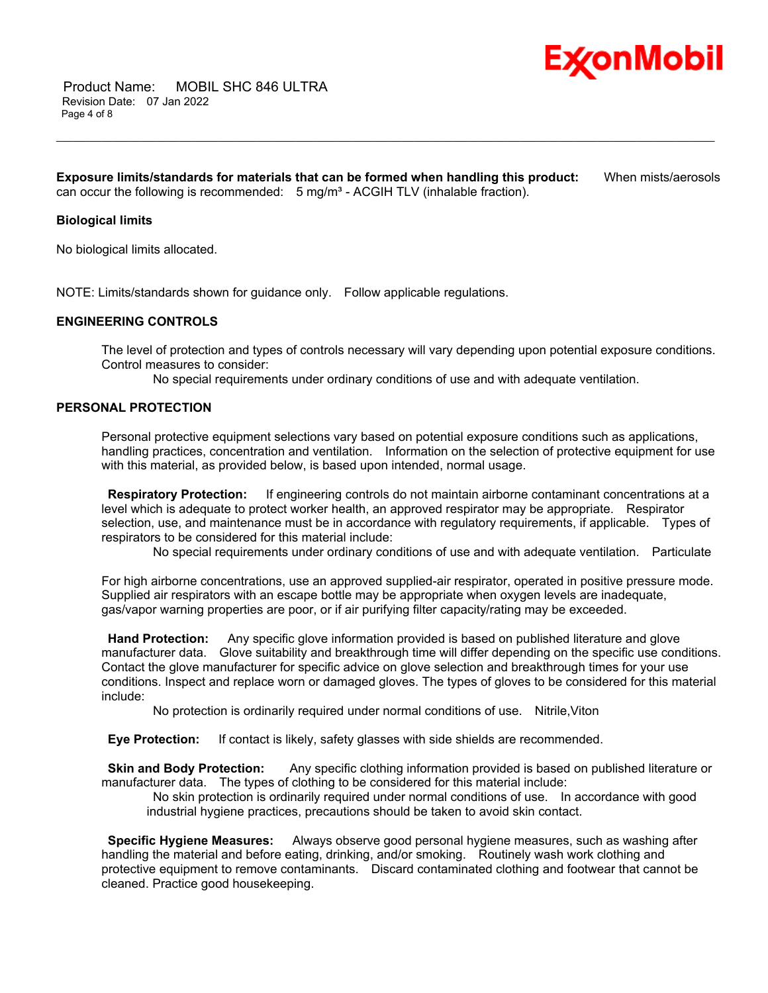

**Exposure limits/standards for materials that can be formed when handling this product:** When mists/aerosols can occur the following is recommended:  $5 \text{ mg/m}^3$  - ACGIH TLV (inhalable fraction).

\_\_\_\_\_\_\_\_\_\_\_\_\_\_\_\_\_\_\_\_\_\_\_\_\_\_\_\_\_\_\_\_\_\_\_\_\_\_\_\_\_\_\_\_\_\_\_\_\_\_\_\_\_\_\_\_\_\_\_\_\_\_\_\_\_\_\_\_\_\_\_\_\_\_\_\_\_\_\_\_\_\_\_\_\_\_\_\_\_\_\_\_\_\_\_\_\_\_\_\_\_\_\_\_\_\_\_\_\_\_\_\_\_\_\_\_\_\_

# **Biological limits**

No biological limits allocated.

NOTE: Limits/standards shown for guidance only. Follow applicable regulations.

# **ENGINEERING CONTROLS**

The level of protection and types of controls necessary will vary depending upon potential exposure conditions. Control measures to consider:

No special requirements under ordinary conditions of use and with adequate ventilation.

### **PERSONAL PROTECTION**

Personal protective equipment selections vary based on potential exposure conditions such as applications, handling practices, concentration and ventilation. Information on the selection of protective equipment for use with this material, as provided below, is based upon intended, normal usage.

**Respiratory Protection:** If engineering controls do not maintain airborne contaminant concentrations at a level which is adequate to protect worker health, an approved respirator may be appropriate. Respirator selection, use, and maintenance must be in accordance with regulatory requirements, if applicable. Types of respirators to be considered for this material include:

No special requirements under ordinary conditions of use and with adequate ventilation. Particulate

For high airborne concentrations, use an approved supplied-air respirator, operated in positive pressure mode. Supplied air respirators with an escape bottle may be appropriate when oxygen levels are inadequate, gas/vapor warning properties are poor, or if air purifying filter capacity/rating may be exceeded.

**Hand Protection:** Any specific glove information provided is based on published literature and glove manufacturer data. Glove suitability and breakthrough time will differ depending on the specific use conditions. Contact the glove manufacturer for specific advice on glove selection and breakthrough times for your use conditions. Inspect and replace worn or damaged gloves. The types of gloves to be considered for this material include:

No protection is ordinarily required under normal conditions of use. Nitrile,Viton

**Eye Protection:** If contact is likely, safety glasses with side shields are recommended.

**Skin and Body Protection:** Any specific clothing information provided is based on published literature or manufacturer data. The types of clothing to be considered for this material include:

No skin protection is ordinarily required under normal conditions of use. In accordance with good industrial hygiene practices, precautions should be taken to avoid skin contact.

**Specific Hygiene Measures:** Always observe good personal hygiene measures, such as washing after handling the material and before eating, drinking, and/or smoking. Routinely wash work clothing and protective equipment to remove contaminants. Discard contaminated clothing and footwear that cannot be cleaned. Practice good housekeeping.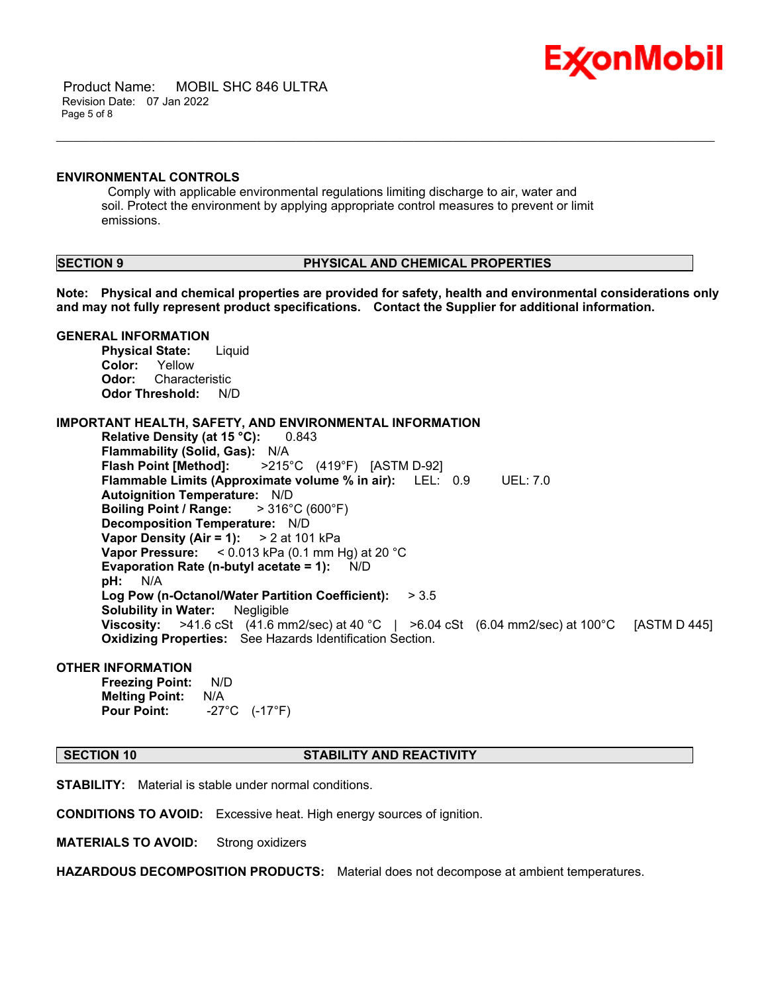

 Product Name: MOBIL SHC 846 ULTRA Revision Date: 07 Jan 2022 Page 5 of 8

#### **ENVIRONMENTAL CONTROLS**

Comply with applicable environmental regulations limiting discharge to air, water and soil. Protect the environment by applying appropriate control measures to prevent or limit emissions.

# **SECTION 9 PHYSICAL AND CHEMICAL PROPERTIES**

**Note: Physical and chemical properties are provided for safety, health and environmental considerations only and may not fully represent product specifications. Contact the Supplier for additional information.**

\_\_\_\_\_\_\_\_\_\_\_\_\_\_\_\_\_\_\_\_\_\_\_\_\_\_\_\_\_\_\_\_\_\_\_\_\_\_\_\_\_\_\_\_\_\_\_\_\_\_\_\_\_\_\_\_\_\_\_\_\_\_\_\_\_\_\_\_\_\_\_\_\_\_\_\_\_\_\_\_\_\_\_\_\_\_\_\_\_\_\_\_\_\_\_\_\_\_\_\_\_\_\_\_\_\_\_\_\_\_\_\_\_\_\_\_\_\_

# **GENERAL INFORMATION**

**Physical State:** Liquid **Color:** Yellow **Odor:** Characteristic **Odor Threshold:** N/D

# **IMPORTANT HEALTH, SAFETY, AND ENVIRONMENTAL INFORMATION**

**Relative Density (at 15 °C):** 0.843 **Flammability (Solid, Gas):** N/A **Flash Point [Method]:** >215°C (419°F) [ASTM D-92] **Flammable Limits (Approximate volume % in air):** LEL: 0.9 UEL: 7.0 **Autoignition Temperature:** N/D **Boiling Point / Range:** > 316°C (600°F) **Decomposition Temperature:** N/D **Vapor Density (Air = 1):** > 2 at 101 kPa **Vapor Pressure:** < 0.013 kPa (0.1 mm Hg) at 20 °C **Evaporation Rate (n-butyl acetate = 1):** N/D **pH:** N/A **Log Pow (n-Octanol/Water Partition Coefficient):** > 3.5 **Solubility in Water:** Negligible **Viscosity:** >41.6 cSt (41.6 mm2/sec) at 40 °C | >6.04 cSt (6.04 mm2/sec) at 100°C [ASTM D 445] **Oxidizing Properties:** See Hazards Identification Section.

# **OTHER INFORMATION**

**Freezing Point:** N/D **Melting Point:** N/A **Pour Point:** -27°C (-17°F)

### **SECTION 10 STABILITY AND REACTIVITY**

**STABILITY:** Material is stable under normal conditions.

**CONDITIONS TO AVOID:** Excessive heat. High energy sources of ignition.

**MATERIALS TO AVOID:** Strong oxidizers

**HAZARDOUS DECOMPOSITION PRODUCTS:** Material does not decompose at ambient temperatures.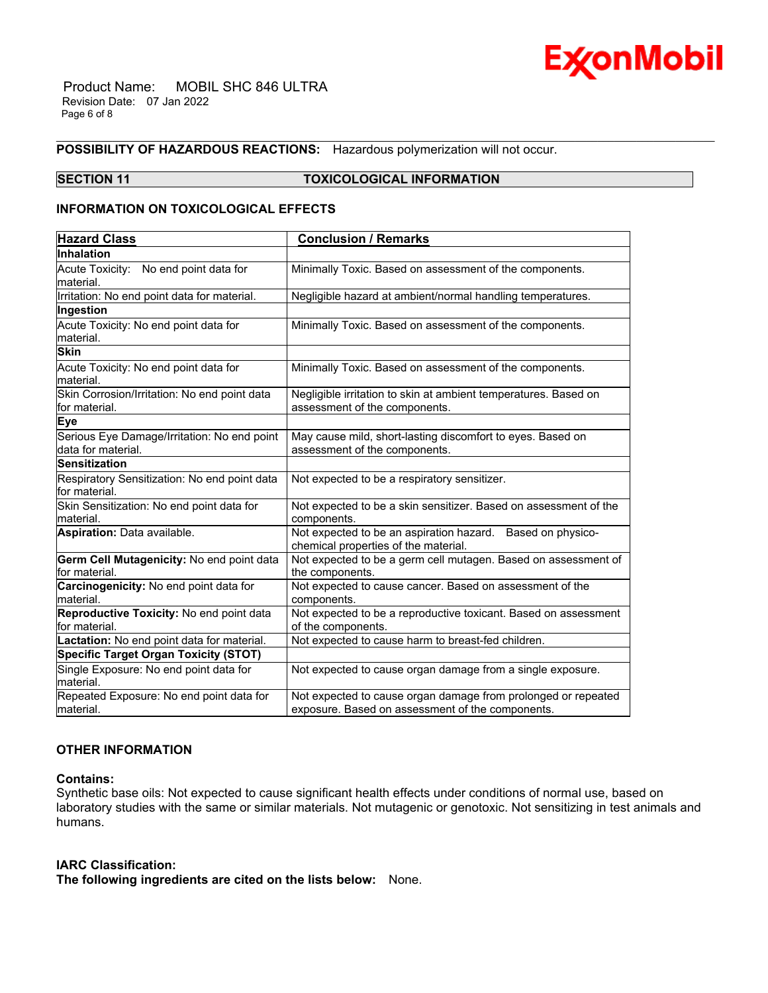

 Product Name: MOBIL SHC 846 ULTRA Revision Date: 07 Jan 2022 Page 6 of 8

# **POSSIBILITY OF HAZARDOUS REACTIONS:** Hazardous polymerization will not occur.

# **SECTION 11 TOXICOLOGICAL INFORMATION**

\_\_\_\_\_\_\_\_\_\_\_\_\_\_\_\_\_\_\_\_\_\_\_\_\_\_\_\_\_\_\_\_\_\_\_\_\_\_\_\_\_\_\_\_\_\_\_\_\_\_\_\_\_\_\_\_\_\_\_\_\_\_\_\_\_\_\_\_\_\_\_\_\_\_\_\_\_\_\_\_\_\_\_\_\_\_\_\_\_\_\_\_\_\_\_\_\_\_\_\_\_\_\_\_\_\_\_\_\_\_\_\_\_\_\_\_\_\_

# **INFORMATION ON TOXICOLOGICAL EFFECTS**

| <b>Hazard Class</b>                                               | <b>Conclusion / Remarks</b>                                                                                       |
|-------------------------------------------------------------------|-------------------------------------------------------------------------------------------------------------------|
| Inhalation                                                        |                                                                                                                   |
| Acute Toxicity: No end point data for<br>material.                | Minimally Toxic. Based on assessment of the components.                                                           |
| Irritation: No end point data for material.                       | Negligible hazard at ambient/normal handling temperatures.                                                        |
| Ingestion                                                         |                                                                                                                   |
| Acute Toxicity: No end point data for<br>material.                | Minimally Toxic. Based on assessment of the components.                                                           |
| <b>Skin</b>                                                       |                                                                                                                   |
| Acute Toxicity: No end point data for<br>material.                | Minimally Toxic. Based on assessment of the components.                                                           |
| Skin Corrosion/Irritation: No end point data<br>for material.     | Negligible irritation to skin at ambient temperatures. Based on<br>assessment of the components.                  |
| <b>Eye</b>                                                        |                                                                                                                   |
| Serious Eye Damage/Irritation: No end point<br>data for material. | May cause mild, short-lasting discomfort to eyes. Based on<br>assessment of the components.                       |
| <b>Sensitization</b>                                              |                                                                                                                   |
| Respiratory Sensitization: No end point data<br>for material.     | Not expected to be a respiratory sensitizer.                                                                      |
| Skin Sensitization: No end point data for<br>material.            | Not expected to be a skin sensitizer. Based on assessment of the<br>components.                                   |
| Aspiration: Data available.                                       | Not expected to be an aspiration hazard. Based on physico-<br>chemical properties of the material.                |
| Germ Cell Mutagenicity: No end point data<br>for material.        | Not expected to be a germ cell mutagen. Based on assessment of<br>the components.                                 |
| Carcinogenicity: No end point data for<br>material.               | Not expected to cause cancer. Based on assessment of the<br>components.                                           |
| Reproductive Toxicity: No end point data<br>for material.         | Not expected to be a reproductive toxicant. Based on assessment<br>of the components.                             |
| Lactation: No end point data for material.                        | Not expected to cause harm to breast-fed children.                                                                |
| <b>Specific Target Organ Toxicity (STOT)</b>                      |                                                                                                                   |
| Single Exposure: No end point data for<br>material.               | Not expected to cause organ damage from a single exposure.                                                        |
| Repeated Exposure: No end point data for<br>material.             | Not expected to cause organ damage from prolonged or repeated<br>exposure. Based on assessment of the components. |

# **OTHER INFORMATION**

# **Contains:**

Synthetic base oils: Not expected to cause significant health effects under conditions of normal use, based on laboratory studies with the same or similar materials. Not mutagenic or genotoxic. Not sensitizing in test animals and humans.

## **IARC Classification:**

**The following ingredients are cited on the lists below:** None.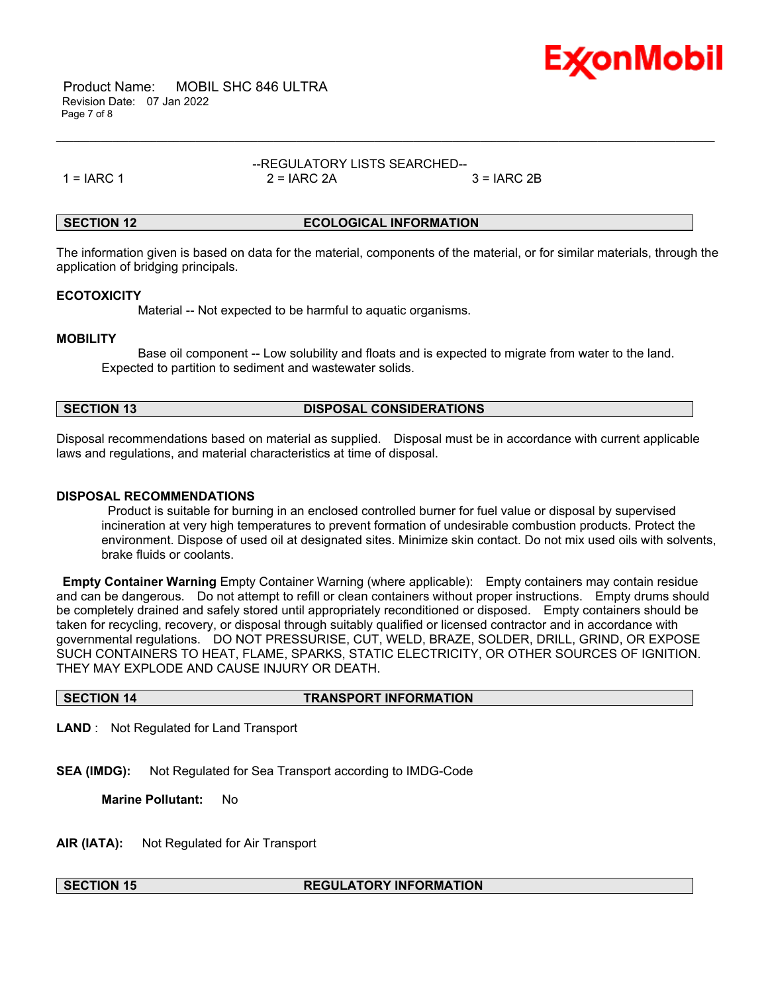

 Product Name: MOBIL SHC 846 ULTRA Revision Date: 07 Jan 2022 Page 7 of 8

# --REGULATORY LISTS SEARCHED-- 1 = IARC 1 2 = IARC 2A 3 = IARC 2B

\_\_\_\_\_\_\_\_\_\_\_\_\_\_\_\_\_\_\_\_\_\_\_\_\_\_\_\_\_\_\_\_\_\_\_\_\_\_\_\_\_\_\_\_\_\_\_\_\_\_\_\_\_\_\_\_\_\_\_\_\_\_\_\_\_\_\_\_\_\_\_\_\_\_\_\_\_\_\_\_\_\_\_\_\_\_\_\_\_\_\_\_\_\_\_\_\_\_\_\_\_\_\_\_\_\_\_\_\_\_\_\_\_\_\_\_\_\_

# **SECTION 12 ECOLOGICAL INFORMATION**

The information given is based on data for the material, components of the material, or for similar materials, through the application of bridging principals.

### **ECOTOXICITY**

Material -- Not expected to be harmful to aquatic organisms.

# **MOBILITY**

 Base oil component -- Low solubility and floats and is expected to migrate from water to the land. Expected to partition to sediment and wastewater solids.

| <b>SECTION 13</b> | <b>DISPOSAL CONSIDERATIONS</b> |
|-------------------|--------------------------------|
|                   |                                |

Disposal recommendations based on material as supplied. Disposal must be in accordance with current applicable laws and regulations, and material characteristics at time of disposal.

# **DISPOSAL RECOMMENDATIONS**

Product is suitable for burning in an enclosed controlled burner for fuel value or disposal by supervised incineration at very high temperatures to prevent formation of undesirable combustion products. Protect the environment. Dispose of used oil at designated sites. Minimize skin contact. Do not mix used oils with solvents, brake fluids or coolants.

**Empty Container Warning** Empty Container Warning (where applicable): Empty containers may contain residue and can be dangerous. Do not attempt to refill or clean containers without proper instructions. Empty drums should be completely drained and safely stored until appropriately reconditioned or disposed. Empty containers should be taken for recycling, recovery, or disposal through suitably qualified or licensed contractor and in accordance with governmental regulations. DO NOT PRESSURISE, CUT, WELD, BRAZE, SOLDER, DRILL, GRIND, OR EXPOSE SUCH CONTAINERS TO HEAT, FLAME, SPARKS, STATIC ELECTRICITY, OR OTHER SOURCES OF IGNITION. THEY MAY EXPLODE AND CAUSE INJURY OR DEATH.

### **SECTION 14 TRANSPORT INFORMATION**

**LAND** : Not Regulated for Land Transport

**SEA (IMDG):** Not Regulated for Sea Transport according to IMDG-Code

**Marine Pollutant:** No

**AIR (IATA):** Not Regulated for Air Transport

# **SECTION 15 REGULATORY INFORMATION**